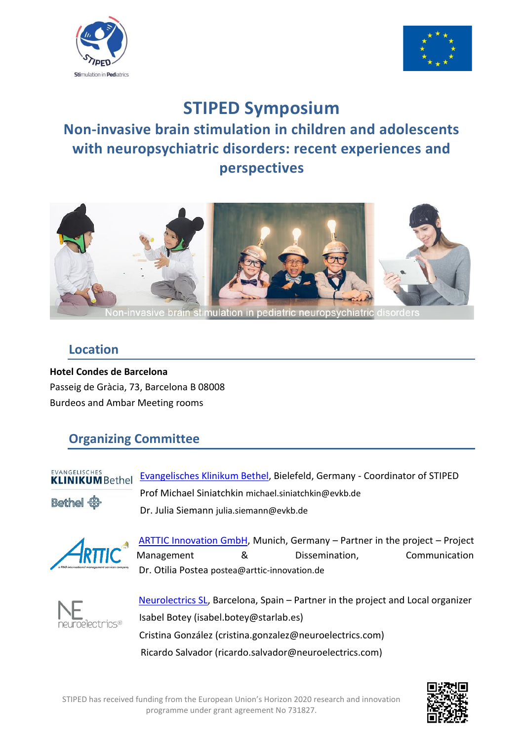



# **STIPED Symposium**

# **Non-invasive brain stimulation in children and adolescents with neuropsychiatric disorders: recent experiences and perspectives**



### **Location**

**Hotel Condes de Barcelona** Passeig de Gràcia, 73, Barcelona B 08008 Burdeos and Ambar Meeting rooms

## **Organizing Committee**

#### EVANGELISCHES **KLINIKUMBethel**

Bethel &

[Evangelisches Klinikum Bethel,](https://evkb.de/kliniken-zentren/kinder-jugendliche/kinder-und-jugendpsychiatrie/ueber-uns/) Bielefeld, Germany - Coordinator of STIPED Prof Michael Siniatchkin [michael.siniatchkin@evkb.de](mailto:michael.siniatchkin@evkb.de) Dr. Julia Siemann [julia.siemann@evkb.de](mailto:julia.siemann@evkb.de)



[ARTTIC Innovation GmbH,](https://www.arttic-innovation.de/) Munich, Germany - Partner in the project - Project Management 8 & Dissemination, Communication Dr. Otilia Postea postea@arttic-innovation.de



 [Neurolectrics SL,](https://www.neuroelectrics.com/) Barcelona, Spain – Partner in the project and Local organizer Isabel Botey (isabel.botey@starlab.es) Cristina González (cristina.gonzalez@neuroelectrics.com) Ricardo Salvador (ricardo.salvador@neuroelectrics.com)

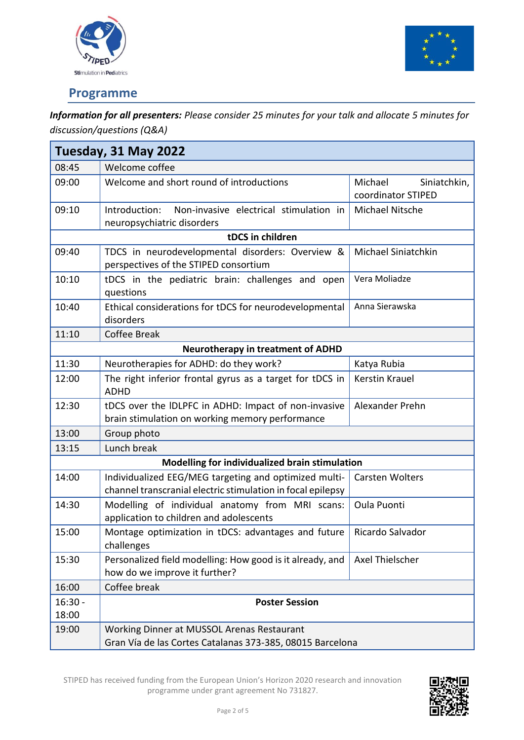



## **Programme**

*Information for all presenters: Please consider 25 minutes for your talk and allocate 5 minutes for discussion/questions (Q&A)*

| Tuesday, 31 May 2022                           |                                                                                                                      |                                               |  |  |  |
|------------------------------------------------|----------------------------------------------------------------------------------------------------------------------|-----------------------------------------------|--|--|--|
| 08:45                                          | Welcome coffee                                                                                                       |                                               |  |  |  |
| 09:00                                          | Welcome and short round of introductions                                                                             | Michael<br>Siniatchkin,<br>coordinator STIPED |  |  |  |
| 09:10                                          | Introduction:<br>Non-invasive electrical stimulation in<br>neuropsychiatric disorders                                | Michael Nitsche                               |  |  |  |
|                                                | tDCS in children                                                                                                     |                                               |  |  |  |
| 09:40                                          | TDCS in neurodevelopmental disorders: Overview &<br>perspectives of the STIPED consortium                            | Michael Siniatchkin                           |  |  |  |
| 10:10                                          | Vera Moliadze<br>tDCS in the pediatric brain: challenges and open<br>questions                                       |                                               |  |  |  |
| 10:40                                          | Ethical considerations for tDCS for neurodevelopmental<br>Anna Sierawska<br>disorders                                |                                               |  |  |  |
| 11:10                                          | <b>Coffee Break</b>                                                                                                  |                                               |  |  |  |
|                                                | <b>Neurotherapy in treatment of ADHD</b>                                                                             |                                               |  |  |  |
| 11:30                                          | Neurotherapies for ADHD: do they work?                                                                               | Katya Rubia                                   |  |  |  |
| 12:00                                          | The right inferior frontal gyrus as a target for tDCS in<br><b>ADHD</b>                                              | <b>Kerstin Krauel</b>                         |  |  |  |
| 12:30                                          | tDCS over the IDLPFC in ADHD: Impact of non-invasive<br>brain stimulation on working memory performance              | Alexander Prehn                               |  |  |  |
| 13:00                                          | Group photo                                                                                                          |                                               |  |  |  |
| 13:15                                          | Lunch break                                                                                                          |                                               |  |  |  |
| Modelling for individualized brain stimulation |                                                                                                                      |                                               |  |  |  |
| 14:00                                          | Individualized EEG/MEG targeting and optimized multi-<br>channel transcranial electric stimulation in focal epilepsy | <b>Carsten Wolters</b>                        |  |  |  |
| 14:30                                          | Modelling of individual anatomy from MRI scans:<br>application to children and adolescents                           | Oula Puonti                                   |  |  |  |
| 15:00                                          | Montage optimization in tDCS: advantages and future<br>challenges                                                    | Ricardo Salvador                              |  |  |  |
| 15:30                                          | Personalized field modelling: How good is it already, and<br>how do we improve it further?                           | Axel Thielscher                               |  |  |  |
| 16:00                                          | Coffee break                                                                                                         |                                               |  |  |  |
| $16:30 -$<br>18:00                             | <b>Poster Session</b>                                                                                                |                                               |  |  |  |
| 19:00                                          | Working Dinner at MUSSOL Arenas Restaurant<br>Gran Vía de las Cortes Catalanas 373-385, 08015 Barcelona              |                                               |  |  |  |

STIPED has received funding from the European Union's Horizon 2020 research and innovation programme under grant agreement No 731827.

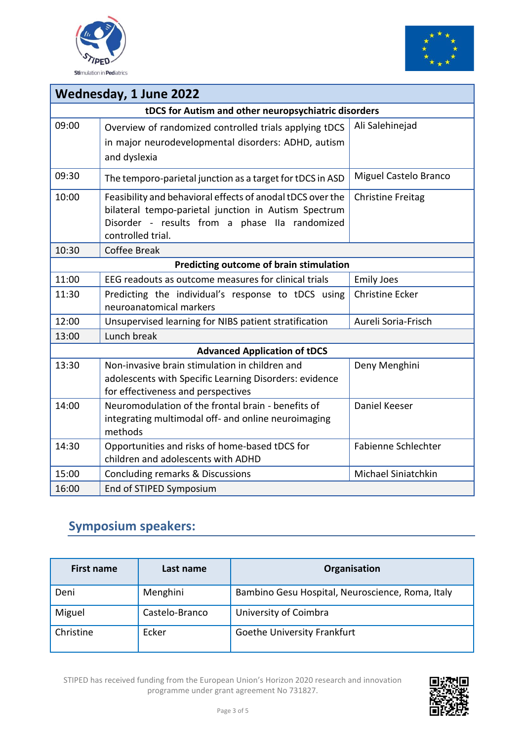



| <b>Wednesday, 1 June 2022</b>                        |                                                                                                                                                                                                                       |                            |  |  |
|------------------------------------------------------|-----------------------------------------------------------------------------------------------------------------------------------------------------------------------------------------------------------------------|----------------------------|--|--|
| tDCS for Autism and other neuropsychiatric disorders |                                                                                                                                                                                                                       |                            |  |  |
| 09:00                                                | Ali Salehinejad<br>Overview of randomized controlled trials applying tDCS<br>in major neurodevelopmental disorders: ADHD, autism<br>and dyslexia                                                                      |                            |  |  |
| 09:30                                                | Miguel Castelo Branco<br>The temporo-parietal junction as a target for tDCS in ASD                                                                                                                                    |                            |  |  |
| 10:00                                                | Feasibility and behavioral effects of anodal tDCS over the<br><b>Christine Freitag</b><br>bilateral tempo-parietal junction in Autism Spectrum<br>Disorder - results from a phase IIa randomized<br>controlled trial. |                            |  |  |
| 10:30                                                | <b>Coffee Break</b>                                                                                                                                                                                                   |                            |  |  |
|                                                      | Predicting outcome of brain stimulation                                                                                                                                                                               |                            |  |  |
| 11:00                                                | EEG readouts as outcome measures for clinical trials                                                                                                                                                                  | <b>Emily Joes</b>          |  |  |
| 11:30                                                | Predicting the individual's response to tDCS using<br>neuroanatomical markers                                                                                                                                         | <b>Christine Ecker</b>     |  |  |
| 12:00                                                | Aureli Soria-Frisch<br>Unsupervised learning for NIBS patient stratification                                                                                                                                          |                            |  |  |
| 13:00                                                | Lunch break                                                                                                                                                                                                           |                            |  |  |
| <b>Advanced Application of tDCS</b>                  |                                                                                                                                                                                                                       |                            |  |  |
| 13:30                                                | Non-invasive brain stimulation in children and<br>Deny Menghini<br>adolescents with Specific Learning Disorders: evidence<br>for effectiveness and perspectives                                                       |                            |  |  |
| 14:00                                                | Neuromodulation of the frontal brain - benefits of<br>integrating multimodal off- and online neuroimaging<br>methods                                                                                                  | <b>Daniel Keeser</b>       |  |  |
| 14:30                                                | Opportunities and risks of home-based tDCS for<br>children and adolescents with ADHD                                                                                                                                  | <b>Fabienne Schlechter</b> |  |  |
| 15:00                                                | Michael Siniatchkin<br>Concluding remarks & Discussions                                                                                                                                                               |                            |  |  |
| 16:00                                                | End of STIPED Symposium                                                                                                                                                                                               |                            |  |  |

## **Symposium speakers:**

| <b>First name</b> | Last name      | Organisation                                     |
|-------------------|----------------|--------------------------------------------------|
| Deni              | Menghini       | Bambino Gesu Hospital, Neuroscience, Roma, Italy |
| Miguel            | Castelo-Branco | University of Coimbra                            |
| Christine         | Ecker          | Goethe University Frankfurt                      |

STIPED has received funding from the European Union's Horizon 2020 research and innovation programme under grant agreement No 731827.

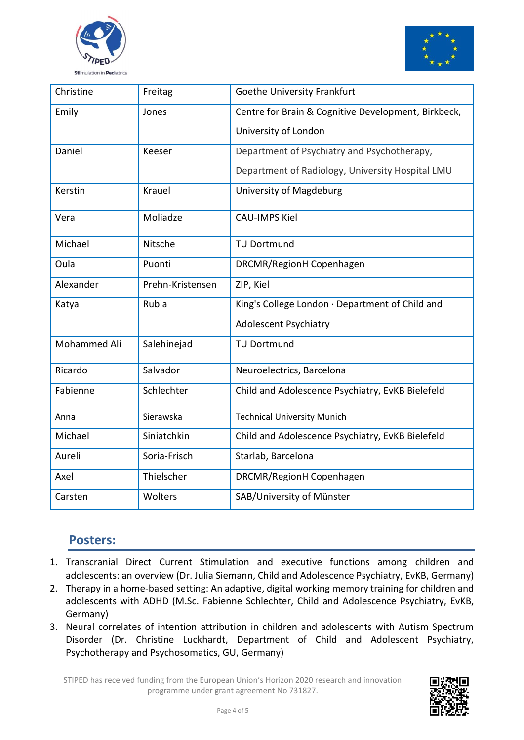



| Christine    | Freitag          | <b>Goethe University Frankfurt</b>                  |
|--------------|------------------|-----------------------------------------------------|
| Emily        | Jones            | Centre for Brain & Cognitive Development, Birkbeck, |
|              |                  | University of London                                |
| Daniel       | Keeser           | Department of Psychiatry and Psychotherapy,         |
|              |                  | Department of Radiology, University Hospital LMU    |
| Kerstin      | Krauel           | University of Magdeburg                             |
| Vera         | Moliadze         | <b>CAU-IMPS Kiel</b>                                |
| Michael      | Nitsche          | <b>TU Dortmund</b>                                  |
| Oula         | Puonti           | DRCMR/RegionH Copenhagen                            |
| Alexander    | Prehn-Kristensen | ZIP, Kiel                                           |
| Katya        | Rubia            | King's College London · Department of Child and     |
|              |                  | <b>Adolescent Psychiatry</b>                        |
| Mohammed Ali | Salehinejad      | <b>TU Dortmund</b>                                  |
| Ricardo      | Salvador         | Neuroelectrics, Barcelona                           |
| Fabienne     | Schlechter       | Child and Adolescence Psychiatry, EvKB Bielefeld    |
| Anna         | Sierawska        | <b>Technical University Munich</b>                  |
| Michael      | Siniatchkin      | Child and Adolescence Psychiatry, EvKB Bielefeld    |
| Aureli       | Soria-Frisch     | Starlab, Barcelona                                  |
| Axel         | Thielscher       | DRCMR/RegionH Copenhagen                            |
| Carsten      | Wolters          | SAB/University of Münster                           |

### **Posters:**

- 1. Transcranial Direct Current Stimulation and executive functions among children and adolescents: an overview (Dr. Julia Siemann, Child and Adolescence Psychiatry, EvKB, Germany)
- 2. Therapy in a home-based setting: An adaptive, digital working memory training for children and adolescents with ADHD (M.Sc. Fabienne Schlechter, Child and Adolescence Psychiatry, EvKB, Germany)
- 3. Neural correlates of intention attribution in children and adolescents with Autism Spectrum Disorder (Dr. Christine Luckhardt, Department of Child and Adolescent Psychiatry, Psychotherapy and Psychosomatics, GU, Germany)